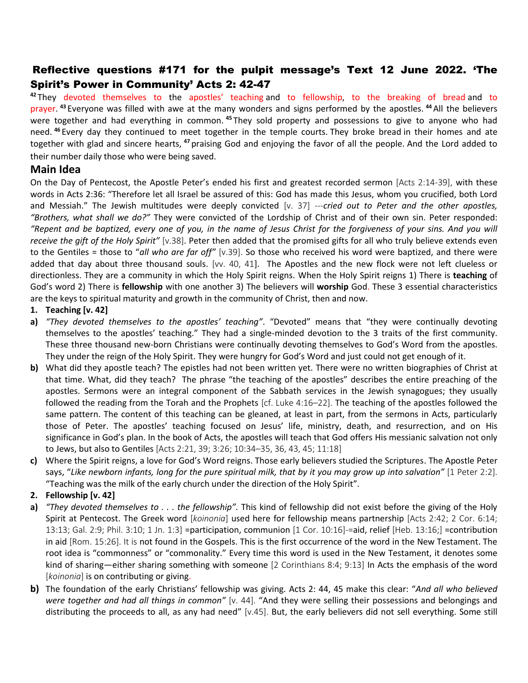## Reflective questions #171 for the pulpit message's Text 12 June 2022. 'The Spirit's Power in Community' Acts 2: 42-47

**<sup>42</sup>** They devoted themselves to the apostles' teaching and to fellowship, to the breaking of bread and to prayer. **<sup>43</sup>** Everyone was filled with awe at the many wonders and signs performed by the apostles. **<sup>44</sup>**All the believers were together and had everything in common. <sup>45</sup> They sold property and possessions to give to anyone who had need. **<sup>46</sup>** Every day they continued to meet together in the temple courts. They broke bread in their homes and ate together with glad and sincere hearts, **<sup>47</sup>** praising God and enjoying the favor of all the people. And the Lord added to their number daily those who were being saved.

## **Main Idea**

On the Day of Pentecost, the Apostle Peter's ended his first and greatest recorded sermon [Acts 2:14-39], with these words in Acts 2:36: "Therefore let all Israel be assured of this: God has made this Jesus, whom you crucified, both Lord and Messiah." The Jewish multitudes were deeply convicted [v. 37] ---*cried out to Peter and the other apostles, "Brothers, what shall we do?"* They were convicted of the Lordship of Christ and of their own sin. Peter responded: *"Repent and be baptized, every one of you, in the name of Jesus Christ for the forgiveness of your sins. And you will receive the gift of the Holy Spirit"* [v.38]. Peter then added that the promised gifts for all who truly believe extends even to the Gentiles = those to "*all who are far off"* [v.39]. So those who received his word were baptized, and there were added that day about three thousand souls. [vv. 40, 41]. The Apostles and the new flock were not left clueless or directionless. They are a community in which the Holy Spirit reigns. When the Holy Spirit reigns 1) There is **teaching** of God's word 2) There is **fellowship** with one another 3) The believers will **worship** God. These 3 essential characteristics are the keys to spiritual maturity and growth in the community of Christ, then and now.

### **1. Teaching [v. 42]**

- **a)** *"They devoted themselves to the apostles' teaching"*. "Devoted" means that "they were continually devoting themselves to the apostles' teaching." They had a single-minded devotion to the 3 traits of the first community. These three thousand new-born Christians were continually devoting themselves to God's Word from the apostles. They under the reign of the Holy Spirit. They were hungry for God's Word and just could not get enough of it.
- **b)** What did they apostle teach? The epistles had not been written yet. There were no written biographies of Christ at that time. What, did they teach? The phrase "the teaching of the apostles" describes the entire preaching of the apostles. Sermons were an integral component of the Sabbath services in the Jewish synagogues; they usually followed the reading from the Torah and the Prophets [cf. Luke 4:16–22]. The teaching of the apostles followed the same pattern. The content of this teaching can be gleaned, at least in part, from the sermons in Acts, particularly those of Peter. The apostles' teaching focused on Jesus' life, ministry, death, and resurrection, and on His significance in God's plan. In the book of Acts, the apostles will teach that God offers His messianic salvation not only to Jews, but also to Gentiles [Acts 2:21, 39; 3:26; 10:34–35, 36, 43, 45; 11:18]
- **c)** Where the Spirit reigns, a love for God's Word reigns. Those early believers studied the Scriptures. The Apostle Peter says, "Like newborn infants, long for the pure spiritual milk, that by it you may grow up into salvation" [1 Peter 2:2]. "Teaching was the milk of the early church under the direction of the Holy Spirit".

## **2. Fellowship [v. 42]**

- **a)** *"They devoted themselves to . . . the fellowship".* This kind of fellowship did not exist before the giving of the Holy Spirit at Pentecost. The Greek word [*koinonia*] used here for fellowship means partnership [Acts 2:42; 2 Cor. 6:14; 13:13; Gal. 2:9; Phil. 3:10; 1 Jn. 1:3] =participation, communion [1 Cor. 10:16]-=aid, relief [Heb. 13:16;] =contribution in aid [Rom. 15:26]. It is not found in the Gospels. This is the first occurrence of the word in the New Testament. The root idea is "commonness" or "commonality." Every time this word is used in the New Testament, it denotes some kind of sharing—either sharing something with someone [2 Corinthians 8:4; 9:13] In Acts the emphasis of the word [koinonia] is on contributing or giving.
- **b)** The foundation of the early Christians' fellowship was giving. Acts 2: 44, 45 make this clear: "*And all who believed were together and had all things in common"* [v. 44]. "And they were selling their possessions and belongings and distributing the proceeds to all, as any had need" [v.45]. But, the early believers did not sell everything. Some still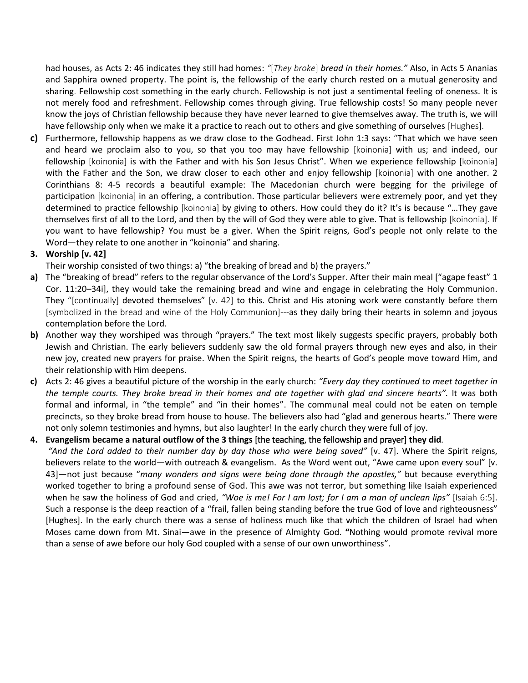had houses, as Acts 2: 46 indicates they still had homes: *"*[*They broke*] *bread in their homes."* Also, in Acts 5 Ananias and Sapphira owned property. The point is, the fellowship of the early church rested on a mutual generosity and sharing. Fellowship cost something in the early church. Fellowship is not just a sentimental feeling of oneness. It is not merely food and refreshment. Fellowship comes through giving. True fellowship costs! So many people never know the joys of Christian fellowship because they have never learned to give themselves away. The truth is, we will have fellowship only when we make it a practice to reach out to others and give something of ourselves [Hughes].

**c)** Furthermore, fellowship happens as we draw close to the Godhead. First John 1:3 says: "That which we have seen and heard we proclaim also to you, so that you too may have fellowship [koinonia] with us; and indeed, our fellowship [koinonia] is with the Father and with his Son Jesus Christ". When we experience fellowship [koinonia] with the Father and the Son, we draw closer to each other and enjoy fellowship [koinonia] with one another. 2 Corinthians 8: 4-5 records a beautiful example: The Macedonian church were begging for the privilege of participation [koinonia] in an offering, a contribution. Those particular believers were extremely poor, and yet they determined to practice fellowship [koinonia] by giving to others. How could they do it? It's is because "…They gave themselves first of all to the Lord, and then by the will of God they were able to give. That is fellowship [koinonia]. If you want to have fellowship? You must be a giver. When the Spirit reigns, God's people not only relate to the Word—they relate to one another in "koinonia" and sharing.

### **3. Worship [v. 42]**

- Their worship consisted of two things: a) "the breaking of bread and b) the prayers."
- **a)** The "breaking of bread" refers to the regular observance of the Lord's Supper. After their main meal ["agape feast" 1 Cor. 11:20–34i], they would take the remaining bread and wine and engage in celebrating the Holy Communion. They "[continually] devoted themselves" [v. 42] to this. Christ and His atoning work were constantly before them [symbolized in the bread and wine of the Holy Communion]---as they daily bring their hearts in solemn and joyous contemplation before the Lord.
- **b)** Another way they worshiped was through "prayers." The text most likely suggests specific prayers, probably both Jewish and Christian. The early believers suddenly saw the old formal prayers through new eyes and also, in their new joy, created new prayers for praise. When the Spirit reigns, the hearts of God's people move toward Him, and their relationship with Him deepens.
- **c)** Acts 2: 46 gives a beautiful picture of the worship in the early church: *"Every day they continued to meet together in the temple courts. They broke bread in their homes and ate together with glad and sincere hearts".* It was both formal and informal, in "the temple" and "in their homes". The communal meal could not be eaten on temple precincts, so they broke bread from house to house. The believers also had "glad and generous hearts." There were not only solemn testimonies and hymns, but also laughter! In the early church they were full of joy.

### **4. Evangelism became a natural outflow of the 3 things** [the teaching, the fellowship and prayer] **they did.**

*"And the Lord added to their number day by day those who were being saved"* [v. 47]. Where the Spirit reigns, believers relate to the world—with outreach & evangelism. As the Word went out, "Awe came upon every soul" [v. 43]—not just because "*many wonders and signs were being done through the apostles,"* but because everything worked together to bring a profound sense of God. This awe was not terror, but something like Isaiah experienced when he saw the holiness of God and cried, *"Woe is me! For I am lost; for I am a man of unclean lips"* [Isaiah 6:5]. Such a response is the deep reaction of a "frail, fallen being standing before the true God of love and righteousness" [Hughes]. In the early church there was a sense of holiness much like that which the children of Israel had when Moses came down from Mt. Sinai—awe in the presence of Almighty God. **"**Nothing would promote revival more than a sense of awe before our holy God coupled with a sense of our own unworthiness".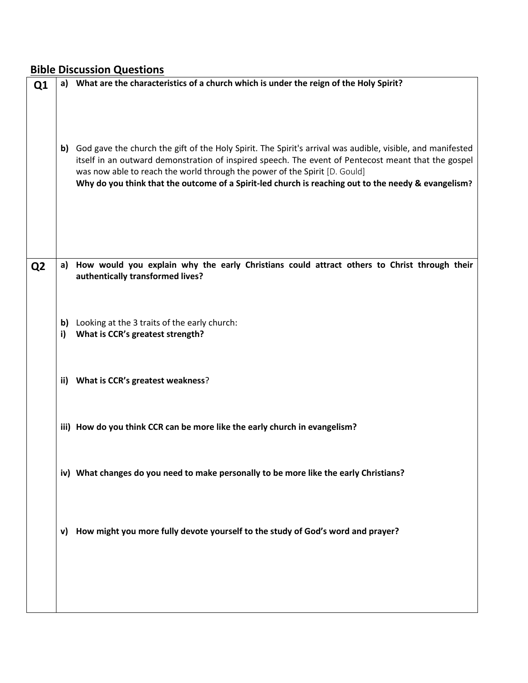# **Bible Discussion Questions**

| Q1             |     | a) What are the characteristics of a church which is under the reign of the Holy Spirit?                                                                                                                                                                                                                                                                                                               |
|----------------|-----|--------------------------------------------------------------------------------------------------------------------------------------------------------------------------------------------------------------------------------------------------------------------------------------------------------------------------------------------------------------------------------------------------------|
|                | b)  | God gave the church the gift of the Holy Spirit. The Spirit's arrival was audible, visible, and manifested<br>itself in an outward demonstration of inspired speech. The event of Pentecost meant that the gospel<br>was now able to reach the world through the power of the Spirit [D. Gould]<br>Why do you think that the outcome of a Spirit-led church is reaching out to the needy & evangelism? |
|                |     |                                                                                                                                                                                                                                                                                                                                                                                                        |
| Q <sub>2</sub> | a)  | How would you explain why the early Christians could attract others to Christ through their<br>authentically transformed lives?                                                                                                                                                                                                                                                                        |
|                | b)  | Looking at the 3 traits of the early church:                                                                                                                                                                                                                                                                                                                                                           |
|                | i)  | What is CCR's greatest strength?                                                                                                                                                                                                                                                                                                                                                                       |
|                | ii) | What is CCR's greatest weakness?                                                                                                                                                                                                                                                                                                                                                                       |
|                |     | iii) How do you think CCR can be more like the early church in evangelism?                                                                                                                                                                                                                                                                                                                             |
|                |     |                                                                                                                                                                                                                                                                                                                                                                                                        |
|                |     | iv) What changes do you need to make personally to be more like the early Christians?                                                                                                                                                                                                                                                                                                                  |
|                | v)  | How might you more fully devote yourself to the study of God's word and prayer?                                                                                                                                                                                                                                                                                                                        |
|                |     |                                                                                                                                                                                                                                                                                                                                                                                                        |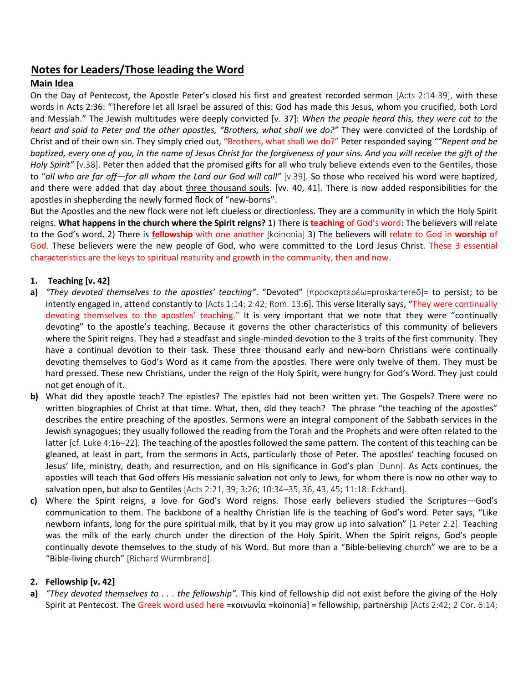## **Notes for Leaders/Those leading the Word**

## **Main Idea**

On the Day of Pentecost, the Apostle Peter's closed his first and greatest recorded sermon [Acts 2:14-39], with these words in Acts 2:36: "Therefore let all Israel be assured of this: God has made this Jesus, whom you crucified, both Lord and Messiah." The Jewish multitudes were deeply convicted [v. 37]: *When the people heard this, they were cut to the heart and said to Peter and the other apostles, "Brothers, what shall we do?"* They were convicted of the Lordship of Christ and of their own sin. They simply cried out, "Brothers, what shall we do?" Peter responded saying *""Repent and be baptized, every one of you, in the name of Jesus Christ for the forgiveness of your sins. And you will receive the gift of the Holy Spirit"* [v.38]. Peter then added that the promised gifts for all who truly believe extends even to the Gentiles, those to "*all who are far off—for all whom the Lord our God will call"* [v.39]. So those who received his word were baptized, and there were added that day about three thousand souls. [vv. 40, 41]. There is now added responsibilities for the apostles in shepherding the newly formed flock of "new-borns".

But the Apostles and the new flock were not left clueless or directionless. They are a community in which the Holy Spirit reigns. **What happens in the church where the Spirit reigns?** 1) There is **teaching** of God's word: The believers will relate to the God's word. 2) There is **fellowship** with one another [koinonia] 3) The believers will relate to God in **worship** of God. These believers were the new people of God, who were committed to the Lord Jesus Christ. These 3 essential characteristics are the keys to spiritual maturity and growth in the community, then and now.

#### **1. Teaching [v. 42]**

- **a)** *"They devoted themselves to the apostles' teaching"*. "Devoted" [προσκαρτερέω=proskartereō]= to persist; to be intently engaged in, attend constantly to [Acts 1:14; 2:42; Rom. 13:6]. This verse literally says, "They were continually devoting themselves to the apostles' teaching." It is very important that we note that they were "continually devoting" to the apostle's teaching. Because it governs the other characteristics of this community of believers where the Spirit reigns. They had a steadfast and single-minded devotion to the 3 traits of the first community. They have a continual devotion to their task. These three thousand early and new-born Christians were continually devoting themselves to God's Word as it came from the apostles. There were only twelve of them. They must be hard pressed. These new Christians, under the reign of the Holy Spirit, were hungry for God's Word. They just could not get enough of it.
- **b)** What did they apostle teach? The epistles? The epistles had not been written yet. The Gospels? There were no written biographies of Christ at that time. What, then, did they teach? The phrase "the teaching of the apostles" describes the entire preaching of the apostles. Sermons were an integral component of the Sabbath services in the Jewish synagogues; they usually followed the reading from the Torah and the Prophets and were often related to the latter [cf. Luke 4:16–22]. The teaching of the apostles followed the same pattern. The content of this teaching can be gleaned, at least in part, from the sermons in Acts, particularly those of Peter. The apostles' teaching focused on Jesus' life, ministry, death, and resurrection, and on His significance in God's plan [Dunn]. As Acts continues, the apostles will teach that God offers His messianic salvation not only to Jews, for whom there is now no other way to salvation open, but also to Gentiles [Acts 2:21, 39; 3:26; 10:34–35, 36, 43, 45; 11:18: Eckhard].
- **c)** Where the Spirit reigns, a love for God's Word reigns. Those early believers studied the Scriptures—God's communication to them. The backbone of a healthy Christian life is the teaching of God's word. Peter says, "Like newborn infants, long for the pure spiritual milk, that by it you may grow up into salvation" [1 Peter 2:2]. Teaching was the milk of the early church under the direction of the Holy Spirit. When the Spirit reigns, God's people continually devote themselves to the study of his Word. But more than a "Bible-believing church" we are to be a "Bible-living church" [Richard Wurmbrand].

### **2. Fellowship [v. 42]**

**a)** *"They devoted themselves to . . . the fellowship".* This kind of fellowship did not exist before the giving of the Holy Spirit at Pentecost. The Greek word used here =κοινωνία =koinonia] = fellowship, partnership [Acts 2:42; 2 Cor. 6:14;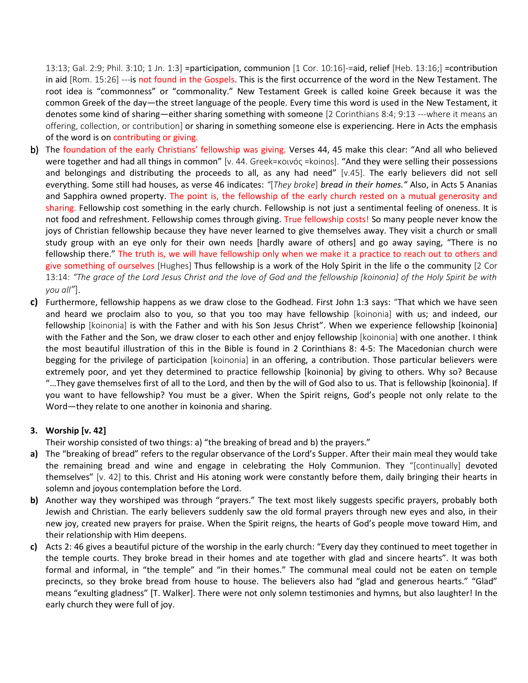13:13; Gal. 2:9; Phil. 3:10; 1 Jn. 1:3] =participation, communion [1 Cor. 10:16]-=aid, relief [Heb. 13:16;] =contribution in aid [Rom. 15:26] ---is not found in the Gospels. This is the first occurrence of the word in the New Testament. The root idea is "commonness" or "commonality." New Testament Greek is called koine Greek because it was the common Greek of the day—the street language of the people. Every time this word is used in the New Testament, it denotes some kind of sharing—either sharing something with someone [2 Corinthians 8:4; 9:13 ---where it means an offering, collection, or contribution] or sharing in something someone else is experiencing. Here in Acts the emphasis of the word is on contributing or giving.

- b) The foundation of the early Christians' fellowship was giving. Verses 44, 45 make this clear: "And all who believed were together and had all things in common" [v. 44. Greek=κοινός =koinos]. "And they were selling their possessions and belongings and distributing the proceeds to all, as any had need" [v.45]. The early believers did not sell everything. Some still had houses, as verse 46 indicates: *"*[*They broke*] *bread in their homes."* Also, in Acts 5 Ananias and Sapphira owned property. The point is, the fellowship of the early church rested on a mutual generosity and sharing. Fellowship cost something in the early church. Fellowship is not just a sentimental feeling of oneness. It is not food and refreshment. Fellowship comes through giving. True fellowship costs! So many people never know the joys of Christian fellowship because they have never learned to give themselves away. They visit a church or small study group with an eye only for their own needs [hardly aware of others] and go away saying, "There is no fellowship there." The truth is, we will have fellowship only when we make it a practice to reach out to others and give something of ourselves [Hughes] Thus fellowship is a work of the Holy Spirit in the life o the community [2 Cor 13:14: *"The grace of the Lord Jesus Christ and the love of God and the fellowship [koinonia] of the Holy Spirit be with you all"*].
- **c)** Furthermore, fellowship happens as we draw close to the Godhead. First John 1:3 says: "That which we have seen and heard we proclaim also to you, so that you too may have fellowship [koinonia] with us; and indeed, our fellowship [koinonia] is with the Father and with his Son Jesus Christ". When we experience fellowship [koinonia] with the Father and the Son, we draw closer to each other and enjoy fellowship [koinonia] with one another. I think the most beautiful illustration of this in the Bible is found in 2 Corinthians 8: 4-5: The Macedonian church were begging for the privilege of participation [koinonia] in an offering, a contribution. Those particular believers were extremely poor, and yet they determined to practice fellowship [koinonia] by giving to others. Why so? Because "…They gave themselves first of all to the Lord, and then by the will of God also to us. That is fellowship [koinonia]. If you want to have fellowship? You must be a giver. When the Spirit reigns, God's people not only relate to the Word—they relate to one another in koinonia and sharing.

#### **3. Worship [v. 42]**

Their worship consisted of two things: a) "the breaking of bread and b) the prayers."

- **a)** The "breaking of bread" refers to the regular observance of the Lord's Supper. After their main meal they would take the remaining bread and wine and engage in celebrating the Holy Communion. They "[continually] devoted themselves" [v. 42] to this. Christ and His atoning work were constantly before them, daily bringing their hearts in solemn and joyous contemplation before the Lord.
- **b)** Another way they worshiped was through "prayers." The text most likely suggests specific prayers, probably both Jewish and Christian. The early believers suddenly saw the old formal prayers through new eyes and also, in their new joy, created new prayers for praise. When the Spirit reigns, the hearts of God's people move toward Him, and their relationship with Him deepens.
- **c)** Acts 2: 46 gives a beautiful picture of the worship in the early church: "Every day they continued to meet together in the temple courts. They broke bread in their homes and ate together with glad and sincere hearts". It was both formal and informal, in "the temple" and "in their homes." The communal meal could not be eaten on temple precincts, so they broke bread from house to house. The believers also had "glad and generous hearts." "Glad" means "exulting gladness" [T. Walker]. There were not only solemn testimonies and hymns, but also laughter! In the early church they were full of joy.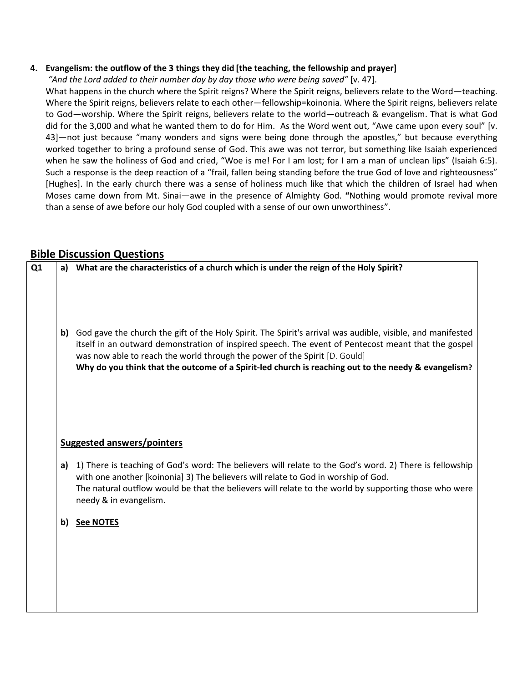### **4. Evangelism: the outflow of the 3 things they did [the teaching, the fellowship and prayer]**

*"And the Lord added to their number day by day those who were being saved"* [v. 47].

What happens in the church where the Spirit reigns? Where the Spirit reigns, believers relate to the Word—teaching. Where the Spirit reigns, believers relate to each other—fellowship=koinonia. Where the Spirit reigns, believers relate to God—worship. Where the Spirit reigns, believers relate to the world—outreach & evangelism. That is what God did for the 3,000 and what he wanted them to do for Him. As the Word went out, "Awe came upon every soul" [v. 43]—not just because "many wonders and signs were being done through the apostles," but because everything worked together to bring a profound sense of God. This awe was not terror, but something like Isaiah experienced when he saw the holiness of God and cried, "Woe is me! For I am lost; for I am a man of unclean lips" (Isaiah 6:5). Such a response is the deep reaction of a "frail, fallen being standing before the true God of love and righteousness" [Hughes]. In the early church there was a sense of holiness much like that which the children of Israel had when Moses came down from Mt. Sinai—awe in the presence of Almighty God. **"**Nothing would promote revival more than a sense of awe before our holy God coupled with a sense of our own unworthiness".

## **Bible Discussion Questions**

| Q <sub>1</sub> |    | a) What are the characteristics of a church which is under the reign of the Holy Spirit?                                                                                                                                                                                                                                                                                                               |
|----------------|----|--------------------------------------------------------------------------------------------------------------------------------------------------------------------------------------------------------------------------------------------------------------------------------------------------------------------------------------------------------------------------------------------------------|
|                | b) | God gave the church the gift of the Holy Spirit. The Spirit's arrival was audible, visible, and manifested<br>itself in an outward demonstration of inspired speech. The event of Pentecost meant that the gospel<br>was now able to reach the world through the power of the Spirit [D. Gould]<br>Why do you think that the outcome of a Spirit-led church is reaching out to the needy & evangelism? |
|                |    | <b>Suggested answers/pointers</b>                                                                                                                                                                                                                                                                                                                                                                      |
|                | a) | 1) There is teaching of God's word: The believers will relate to the God's word. 2) There is fellowship<br>with one another [koinonia] 3) The believers will relate to God in worship of God.<br>The natural outflow would be that the believers will relate to the world by supporting those who were<br>needy & in evangelism.                                                                       |
|                | b) | <b>See NOTES</b>                                                                                                                                                                                                                                                                                                                                                                                       |